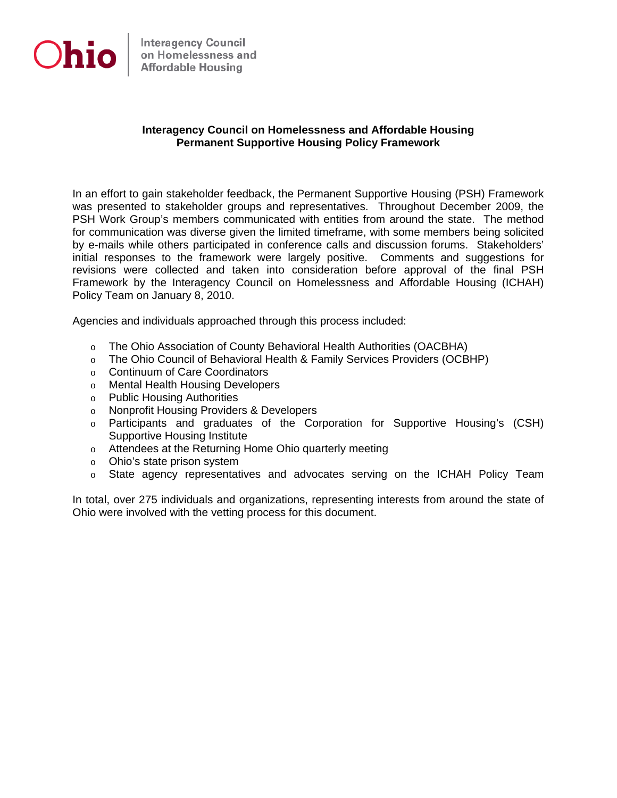

#### **Interagency Council on Homelessness and Affordable Housing Permanent Supportive Housing Policy Framework**

In an effort to gain stakeholder feedback, the Permanent Supportive Housing (PSH) Framework was presented to stakeholder groups and representatives. Throughout December 2009, the PSH Work Group's members communicated with entities from around the state. The method for communication was diverse given the limited timeframe, with some members being solicited by e-mails while others participated in conference calls and discussion forums. Stakeholders' initial responses to the framework were largely positive. Comments and suggestions for revisions were collected and taken into consideration before approval of the final PSH Framework by the Interagency Council on Homelessness and Affordable Housing (ICHAH) Policy Team on January 8, 2010.

Agencies and individuals approached through this process included:

- o The Ohio Association of County Behavioral Health Authorities (OACBHA)
- o The Ohio Council of Behavioral Health & Family Services Providers (OCBHP)
- o Continuum of Care Coordinators
- o Mental Health Housing Developers
- o Public Housing Authorities
- o Nonprofit Housing Providers & Developers
- o Participants and graduates of the Corporation for Supportive Housing's (CSH) Supportive Housing Institute
- o Attendees at the Returning Home Ohio quarterly meeting
- o Ohio's state prison system
- o State agency representatives and advocates serving on the ICHAH Policy Team

In total, over 275 individuals and organizations, representing interests from around the state of Ohio were involved with the vetting process for this document.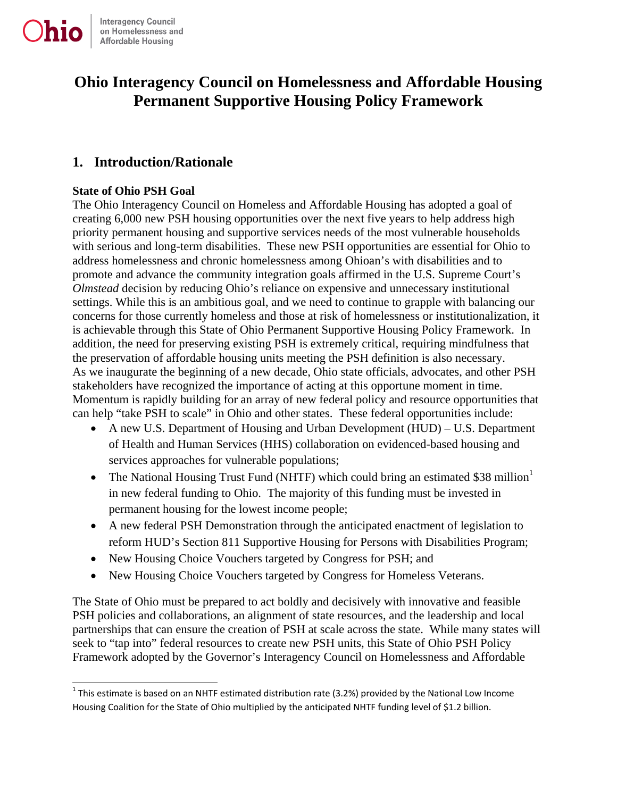j

# **Ohio Interagency Council on Homelessness and Affordable Housing Permanent Supportive Housing Policy Framework**

# **1. Introduction/Rationale**

### **State of Ohio PSH Goal**

The Ohio Interagency Council on Homeless and Affordable Housing has adopted a goal of creating 6,000 new PSH housing opportunities over the next five years to help address high priority permanent housing and supportive services needs of the most vulnerable households with serious and long-term disabilities. These new PSH opportunities are essential for Ohio to address homelessness and chronic homelessness among Ohioan's with disabilities and to promote and advance the community integration goals affirmed in the U.S. Supreme Court's *Olmstead* decision by reducing Ohio's reliance on expensive and unnecessary institutional settings. While this is an ambitious goal, and we need to continue to grapple with balancing our concerns for those currently homeless and those at risk of homelessness or institutionalization, it is achievable through this State of Ohio Permanent Supportive Housing Policy Framework. In addition, the need for preserving existing PSH is extremely critical, requiring mindfulness that the preservation of affordable housing units meeting the PSH definition is also necessary. As we inaugurate the beginning of a new decade, Ohio state officials, advocates, and other PSH stakeholders have recognized the importance of acting at this opportune moment in time. Momentum is rapidly building for an array of new federal policy and resource opportunities that can help "take PSH to scale" in Ohio and other states. These federal opportunities include:

- A new U.S. Department of Housing and Urban Development (HUD) U.S. Department of Health and Human Services (HHS) collaboration on evidenced-based housing and services approaches for vulnerable populations;
- The National Housing Trust Fund (NHTF) which could bring an estimated \$38 million<sup>1</sup> in new federal funding to Ohio. The majority of this funding must be invested in permanent housing for the lowest income people;
- A new federal PSH Demonstration through the anticipated enactment of legislation to reform HUD's Section 811 Supportive Housing for Persons with Disabilities Program;
- New Housing Choice Vouchers targeted by Congress for PSH; and
- New Housing Choice Vouchers targeted by Congress for Homeless Veterans.

The State of Ohio must be prepared to act boldly and decisively with innovative and feasible PSH policies and collaborations, an alignment of state resources, and the leadership and local partnerships that can ensure the creation of PSH at scale across the state. While many states will seek to "tap into" federal resources to create new PSH units, this State of Ohio PSH Policy Framework adopted by the Governor's Interagency Council on Homelessness and Affordable

 $1$  This estimate is based on an NHTF estimated distribution rate (3.2%) provided by the National Low Income Housing Coalition for the State of Ohio multiplied by the anticipated NHTF funding level of \$1.2 billion.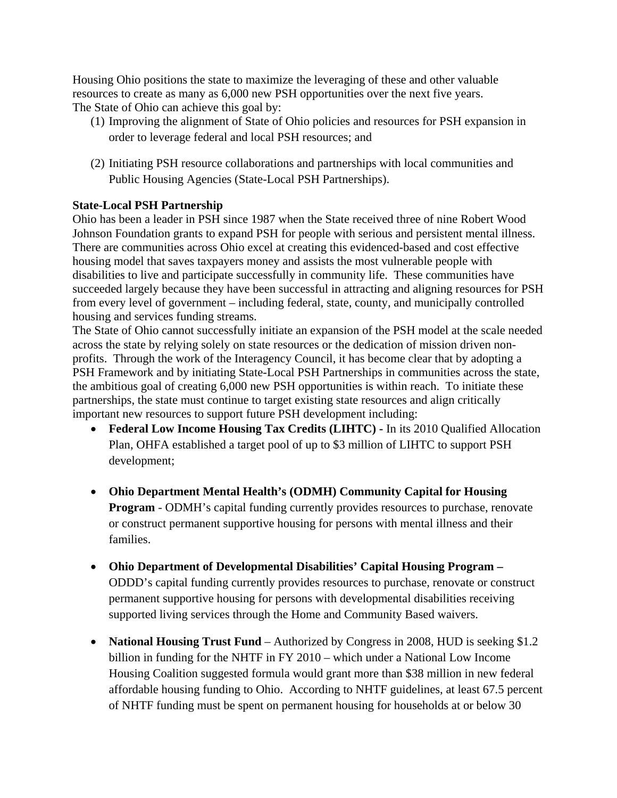Housing Ohio positions the state to maximize the leveraging of these and other valuable resources to create as many as 6,000 new PSH opportunities over the next five years. The State of Ohio can achieve this goal by:

- (1) Improving the alignment of State of Ohio policies and resources for PSH expansion in order to leverage federal and local PSH resources; and
- (2) Initiating PSH resource collaborations and partnerships with local communities and Public Housing Agencies (State-Local PSH Partnerships).

### **State-Local PSH Partnership**

Ohio has been a leader in PSH since 1987 when the State received three of nine Robert Wood Johnson Foundation grants to expand PSH for people with serious and persistent mental illness. There are communities across Ohio excel at creating this evidenced-based and cost effective housing model that saves taxpayers money and assists the most vulnerable people with disabilities to live and participate successfully in community life. These communities have succeeded largely because they have been successful in attracting and aligning resources for PSH from every level of government – including federal, state, county, and municipally controlled housing and services funding streams.

The State of Ohio cannot successfully initiate an expansion of the PSH model at the scale needed across the state by relying solely on state resources or the dedication of mission driven nonprofits. Through the work of the Interagency Council, it has become clear that by adopting a PSH Framework and by initiating State-Local PSH Partnerships in communities across the state, the ambitious goal of creating 6,000 new PSH opportunities is within reach. To initiate these partnerships, the state must continue to target existing state resources and align critically important new resources to support future PSH development including:

- **Federal Low Income Housing Tax Credits (LIHTC) -** In its 2010 Qualified Allocation Plan, OHFA established a target pool of up to \$3 million of LIHTC to support PSH development;
- **Ohio Department Mental Health's (ODMH) Community Capital for Housing Program** - ODMH's capital funding currently provides resources to purchase, renovate or construct permanent supportive housing for persons with mental illness and their families.
- **Ohio Department of Developmental Disabilities' Capital Housing Program**  ODDD's capital funding currently provides resources to purchase, renovate or construct permanent supportive housing for persons with developmental disabilities receiving supported living services through the Home and Community Based waivers.
- **National Housing Trust Fund** Authorized by Congress in 2008, HUD is seeking \$1.2 billion in funding for the NHTF in FY 2010 – which under a National Low Income Housing Coalition suggested formula would grant more than \$38 million in new federal affordable housing funding to Ohio. According to NHTF guidelines, at least 67.5 percent of NHTF funding must be spent on permanent housing for households at or below 30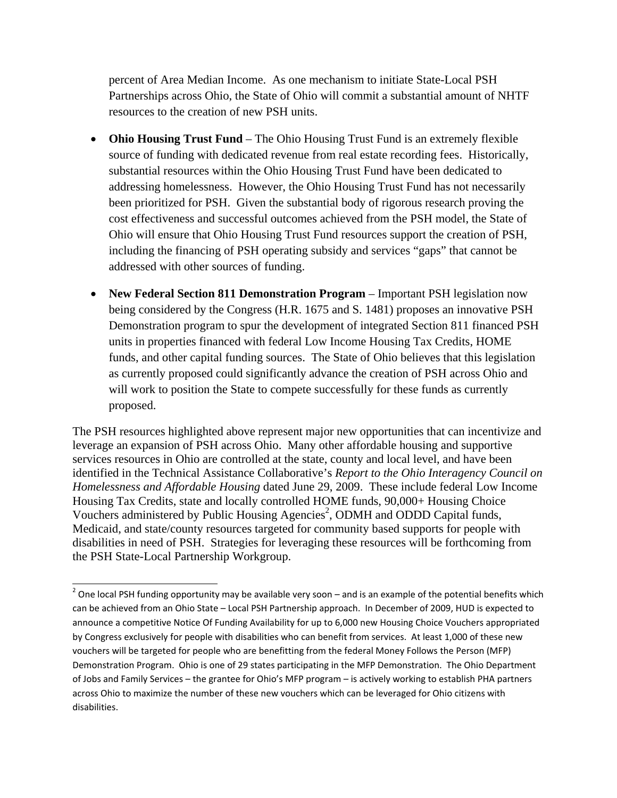percent of Area Median Income. As one mechanism to initiate State-Local PSH Partnerships across Ohio, the State of Ohio will commit a substantial amount of NHTF resources to the creation of new PSH units.

- **Ohio Housing Trust Fund** The Ohio Housing Trust Fund is an extremely flexible source of funding with dedicated revenue from real estate recording fees. Historically, substantial resources within the Ohio Housing Trust Fund have been dedicated to addressing homelessness. However, the Ohio Housing Trust Fund has not necessarily been prioritized for PSH. Given the substantial body of rigorous research proving the cost effectiveness and successful outcomes achieved from the PSH model, the State of Ohio will ensure that Ohio Housing Trust Fund resources support the creation of PSH, including the financing of PSH operating subsidy and services "gaps" that cannot be addressed with other sources of funding.
- **New Federal Section 811 Demonstration Program** Important PSH legislation now being considered by the Congress (H.R. 1675 and S. 1481) proposes an innovative PSH Demonstration program to spur the development of integrated Section 811 financed PSH units in properties financed with federal Low Income Housing Tax Credits, HOME funds, and other capital funding sources. The State of Ohio believes that this legislation as currently proposed could significantly advance the creation of PSH across Ohio and will work to position the State to compete successfully for these funds as currently proposed.

The PSH resources highlighted above represent major new opportunities that can incentivize and leverage an expansion of PSH across Ohio. Many other affordable housing and supportive services resources in Ohio are controlled at the state, county and local level, and have been identified in the Technical Assistance Collaborative's *Report to the Ohio Interagency Council on Homelessness and Affordable Housing* dated June 29, 2009. These include federal Low Income Housing Tax Credits, state and locally controlled HOME funds, 90,000+ Housing Choice Vouchers administered by Public Housing Agencies<sup>2</sup>, ODMH and ODDD Capital funds, Medicaid, and state/county resources targeted for community based supports for people with disabilities in need of PSH. Strategies for leveraging these resources will be forthcoming from the PSH State-Local Partnership Workgroup.

<sup>2&</sup>lt;br>2 One local PSH funding opportunity may be available very soon – and is an example of the potential benefits which can be achieved from an Ohio State – Local PSH Partnership approach. In December of 2009, HUD is expected to announce a competitive Notice Of Funding Availability for up to 6,000 new Housing Choice Vouchers appropriated by Congress exclusively for people with disabilities who can benefit from services. At least 1,000 of these new vouchers will be targeted for people who are benefitting from the federal Money Follows the Person (MFP) Demonstration Program. Ohio is one of 29 states participating in the MFP Demonstration. The Ohio Department of Jobs and Family Services – the grantee for Ohio's MFP program – is actively working to establish PHA partners across Ohio to maximize the number of these new vouchers which can be leveraged for Ohio citizens with disabilities.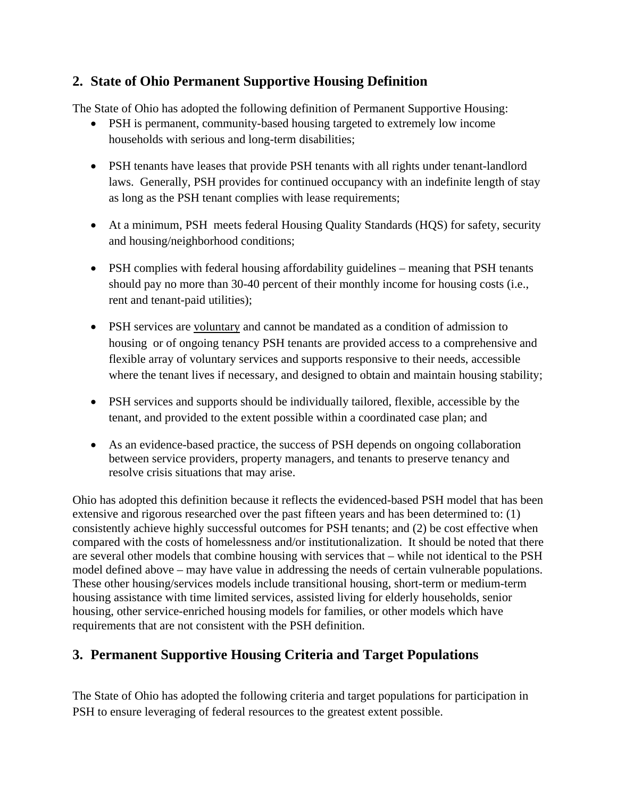## **2. State of Ohio Permanent Supportive Housing Definition**

The State of Ohio has adopted the following definition of Permanent Supportive Housing:

- PSH is permanent, community-based housing targeted to extremely low income households with serious and long-term disabilities;
- PSH tenants have leases that provide PSH tenants with all rights under tenant-landlord laws. Generally, PSH provides for continued occupancy with an indefinite length of stay as long as the PSH tenant complies with lease requirements;
- At a minimum, PSH meets federal Housing Quality Standards (HQS) for safety, security and housing/neighborhood conditions;
- PSH complies with federal housing affordability guidelines meaning that PSH tenants should pay no more than 30-40 percent of their monthly income for housing costs (i.e., rent and tenant-paid utilities);
- PSH services are voluntary and cannot be mandated as a condition of admission to housing or of ongoing tenancy PSH tenants are provided access to a comprehensive and flexible array of voluntary services and supports responsive to their needs, accessible where the tenant lives if necessary, and designed to obtain and maintain housing stability;
- PSH services and supports should be individually tailored, flexible, accessible by the tenant, and provided to the extent possible within a coordinated case plan; and
- As an evidence-based practice, the success of PSH depends on ongoing collaboration between service providers, property managers, and tenants to preserve tenancy and resolve crisis situations that may arise.

Ohio has adopted this definition because it reflects the evidenced-based PSH model that has been extensive and rigorous researched over the past fifteen years and has been determined to: (1) consistently achieve highly successful outcomes for PSH tenants; and (2) be cost effective when compared with the costs of homelessness and/or institutionalization. It should be noted that there are several other models that combine housing with services that – while not identical to the PSH model defined above – may have value in addressing the needs of certain vulnerable populations. These other housing/services models include transitional housing, short-term or medium-term housing assistance with time limited services, assisted living for elderly households, senior housing, other service-enriched housing models for families, or other models which have requirements that are not consistent with the PSH definition.

# **3. Permanent Supportive Housing Criteria and Target Populations**

The State of Ohio has adopted the following criteria and target populations for participation in PSH to ensure leveraging of federal resources to the greatest extent possible.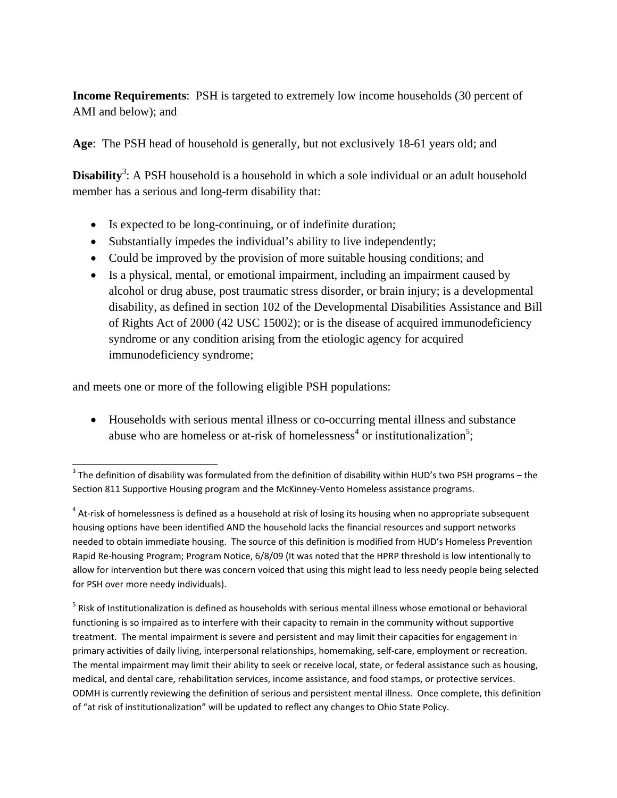**Income Requirements**: PSH is targeted to extremely low income households (30 percent of AMI and below); and

**Age**: The PSH head of household is generally, but not exclusively 18-61 years old; and

**Disability**<sup>3</sup>: A PSH household is a household in which a sole individual or an adult household member has a serious and long-term disability that:

- Is expected to be long-continuing, or of indefinite duration;
- Substantially impedes the individual's ability to live independently;
- Could be improved by the provision of more suitable housing conditions; and
- Is a physical, mental, or emotional impairment, including an impairment caused by alcohol or drug abuse, post traumatic stress disorder, or brain injury; is a developmental disability, as defined in section 102 of the Developmental Disabilities Assistance and Bill of Rights Act of 2000 (42 USC 15002); or is the disease of acquired immunodeficiency syndrome or any condition arising from the etiologic agency for acquired immunodeficiency syndrome;

and meets one or more of the following eligible PSH populations:

• Households with serious mental illness or co-occurring mental illness and substance abuse who are homeless or at-risk of homelessness<sup>4</sup> or institutionalization<sup>5</sup>;

 $\frac{3}{3}$  The definition of disability was formulated from the definition of disability within HUD's two PSH programs – the Section 811 Supportive Housing program and the McKinney‐Vento Homeless assistance programs.

 $4$  At-risk of homelessness is defined as a household at risk of losing its housing when no appropriate subsequent housing options have been identified AND the household lacks the financial resources and support networks needed to obtain immediate housing. The source of this definition is modified from HUD's Homeless Prevention Rapid Re‐housing Program; Program Notice, 6/8/09 (It was noted that the HPRP threshold is low intentionally to allow for intervention but there was concern voiced that using this might lead to less needy people being selected for PSH over more needy individuals).

<sup>&</sup>lt;sup>5</sup> Risk of Institutionalization is defined as households with serious mental illness whose emotional or behavioral functioning is so impaired as to interfere with their capacity to remain in the community without supportive treatment. The mental impairment is severe and persistent and may limit their capacities for engagement in primary activities of daily living, interpersonal relationships, homemaking, self‐care, employment or recreation. The mental impairment may limit their ability to seek or receive local, state, or federal assistance such as housing, medical, and dental care, rehabilitation services, income assistance, and food stamps, or protective services. ODMH is currently reviewing the definition of serious and persistent mental illness. Once complete, this definition of "at risk of institutionalization" will be updated to reflect any changes to Ohio State Policy.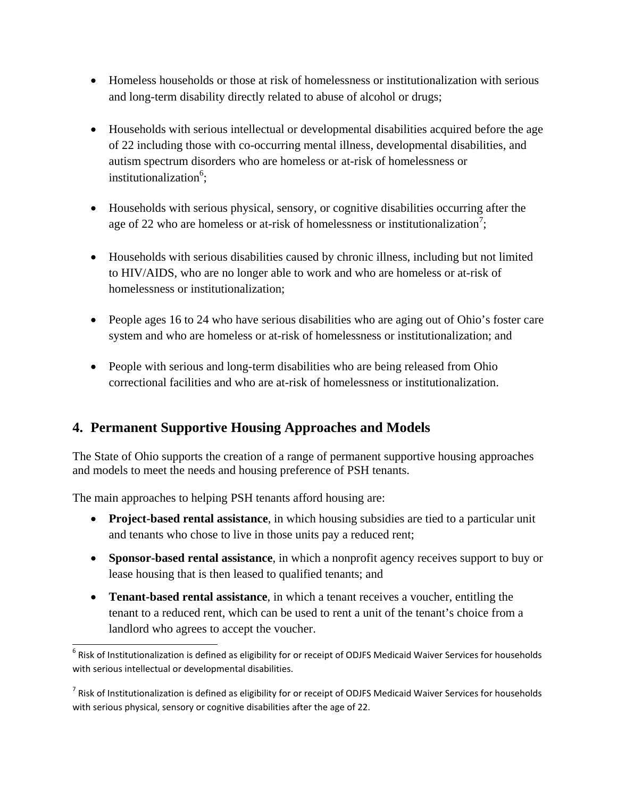- Homeless households or those at risk of homelessness or institutionalization with serious and long-term disability directly related to abuse of alcohol or drugs;
- Households with serious intellectual or developmental disabilities acquired before the age of 22 including those with co-occurring mental illness, developmental disabilities, and autism spectrum disorders who are homeless or at-risk of homelessness or institutionalization<sup>6</sup>;
- Households with serious physical, sensory, or cognitive disabilities occurring after the age of 22 who are homeless or at-risk of homelessness or institutionalization<sup>7</sup>;
- Households with serious disabilities caused by chronic illness, including but not limited to HIV/AIDS, who are no longer able to work and who are homeless or at-risk of homelessness or institutionalization;
- People ages 16 to 24 who have serious disabilities who are aging out of Ohio's foster care system and who are homeless or at-risk of homelessness or institutionalization; and
- People with serious and long-term disabilities who are being released from Ohio correctional facilities and who are at-risk of homelessness or institutionalization.

# **4. Permanent Supportive Housing Approaches and Models**

The State of Ohio supports the creation of a range of permanent supportive housing approaches and models to meet the needs and housing preference of PSH tenants.

The main approaches to helping PSH tenants afford housing are:

- **Project-based rental assistance**, in which housing subsidies are tied to a particular unit and tenants who chose to live in those units pay a reduced rent;
- **Sponsor-based rental assistance**, in which a nonprofit agency receives support to buy or lease housing that is then leased to qualified tenants; and
- **Tenant-based rental assistance**, in which a tenant receives a voucher, entitling the tenant to a reduced rent, which can be used to rent a unit of the tenant's choice from a landlord who agrees to accept the voucher.

 <sup>6</sup> Risk of Institutionalization is defined as eligibility for or receipt of ODJFS Medicaid Waiver Services for households with serious intellectual or developmental disabilities.

 $<sup>7</sup>$  Risk of Institutionalization is defined as eligibility for or receipt of ODJFS Medicaid Waiver Services for households</sup> with serious physical, sensory or cognitive disabilities after the age of 22.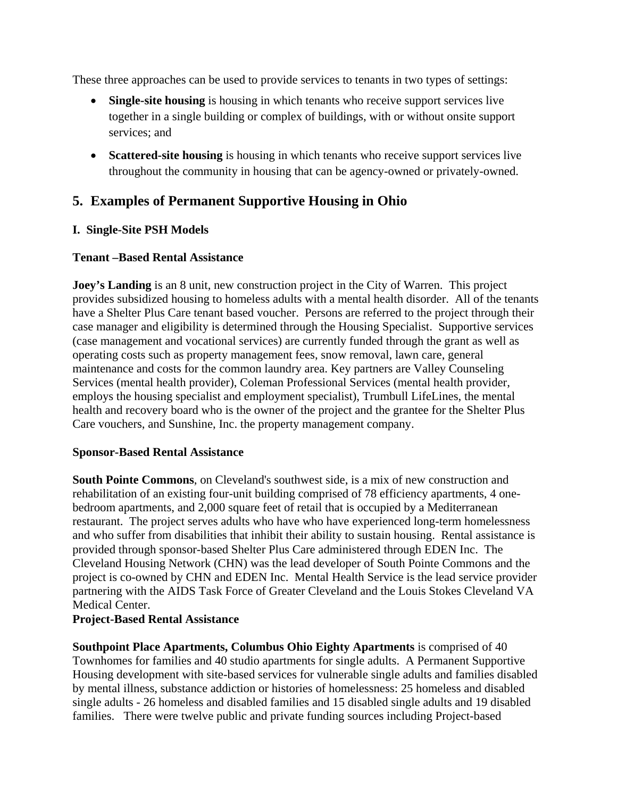These three approaches can be used to provide services to tenants in two types of settings:

- **Single-site housing** is housing in which tenants who receive support services live together in a single building or complex of buildings, with or without onsite support services; and
- **Scattered-site housing** is housing in which tenants who receive support services live throughout the community in housing that can be agency-owned or privately-owned.

### **5. Examples of Permanent Supportive Housing in Ohio**

### **I. Single-Site PSH Models**

### **Tenant –Based Rental Assistance**

**Joey's Landing** is an 8 unit, new construction project in the City of Warren. This project provides subsidized housing to homeless adults with a mental health disorder. All of the tenants have a Shelter Plus Care tenant based voucher. Persons are referred to the project through their case manager and eligibility is determined through the Housing Specialist. Supportive services (case management and vocational services) are currently funded through the grant as well as operating costs such as property management fees, snow removal, lawn care, general maintenance and costs for the common laundry area. Key partners are Valley Counseling Services (mental health provider), Coleman Professional Services (mental health provider, employs the housing specialist and employment specialist), Trumbull LifeLines, the mental health and recovery board who is the owner of the project and the grantee for the Shelter Plus Care vouchers, and Sunshine, Inc. the property management company.

### **Sponsor-Based Rental Assistance**

**South Pointe Commons**, on Cleveland's southwest side, is a mix of new construction and rehabilitation of an existing four-unit building comprised of 78 efficiency apartments, 4 onebedroom apartments, and 2,000 square feet of retail that is occupied by a Mediterranean restaurant. The project serves adults who have who have experienced long-term homelessness and who suffer from disabilities that inhibit their ability to sustain housing. Rental assistance is provided through sponsor-based Shelter Plus Care administered through EDEN Inc. The Cleveland Housing Network (CHN) was the lead developer of South Pointe Commons and the project is co-owned by CHN and EDEN Inc. Mental Health Service is the lead service provider partnering with the AIDS Task Force of Greater Cleveland and the Louis Stokes Cleveland VA Medical Center.

### **Project-Based Rental Assistance**

**Southpoint Place Apartments, Columbus Ohio Eighty Apartments** is comprised of 40 Townhomes for families and 40 studio apartments for single adults. A Permanent Supportive Housing development with site-based services for vulnerable single adults and families disabled by mental illness, substance addiction or histories of homelessness: 25 homeless and disabled single adults - 26 homeless and disabled families and 15 disabled single adults and 19 disabled families. There were twelve public and private funding sources including Project-based